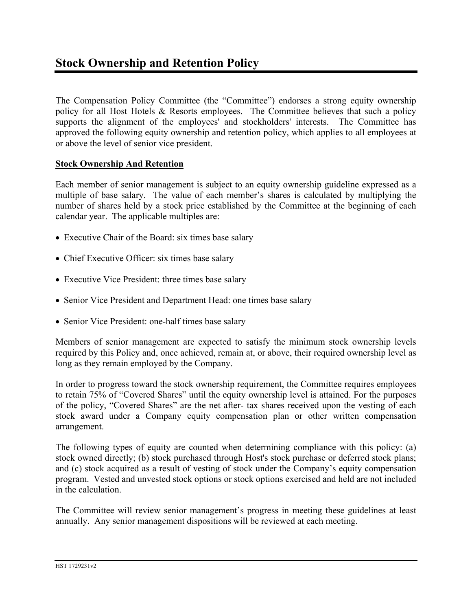The Compensation Policy Committee (the "Committee") endorses a strong equity ownership policy for all Host Hotels & Resorts employees. The Committee believes that such a policy supports the alignment of the employees' and stockholders' interests. The Committee has approved the following equity ownership and retention policy, which applies to all employees at or above the level of senior vice president.

## **Stock Ownership And Retention**

Each member of senior management is subject to an equity ownership guideline expressed as a multiple of base salary. The value of each member's shares is calculated by multiplying the number of shares held by a stock price established by the Committee at the beginning of each calendar year. The applicable multiples are:

- Executive Chair of the Board: six times base salary
- Chief Executive Officer: six times base salary
- Executive Vice President: three times base salary
- Senior Vice President and Department Head: one times base salary
- Senior Vice President: one-half times base salary

Members of senior management are expected to satisfy the minimum stock ownership levels required by this Policy and, once achieved, remain at, or above, their required ownership level as long as they remain employed by the Company.

In order to progress toward the stock ownership requirement, the Committee requires employees to retain 75% of "Covered Shares" until the equity ownership level is attained. For the purposes of the policy, "Covered Shares" are the net after- tax shares received upon the vesting of each stock award under a Company equity compensation plan or other written compensation arrangement.

The following types of equity are counted when determining compliance with this policy: (a) stock owned directly; (b) stock purchased through Host's stock purchase or deferred stock plans; and (c) stock acquired as a result of vesting of stock under the Company's equity compensation program. Vested and unvested stock options or stock options exercised and held are not included in the calculation.

The Committee will review senior management's progress in meeting these guidelines at least annually. Any senior management dispositions will be reviewed at each meeting.